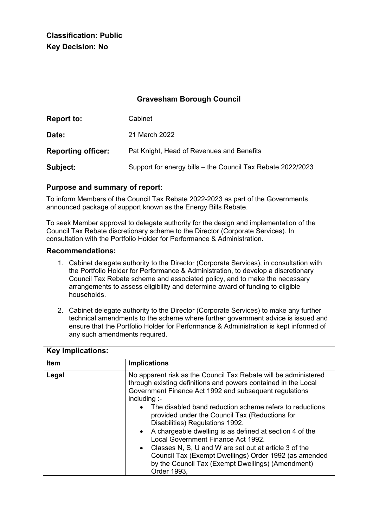**Classification: Public Key Decision: No**

# **Gravesham Borough Council**

| Report to:                | Cabinet                                                     |
|---------------------------|-------------------------------------------------------------|
| Date:                     | 21 March 2022                                               |
| <b>Reporting officer:</b> | Pat Knight, Head of Revenues and Benefits                   |
| Subject:                  | Support for energy bills - the Council Tax Rebate 2022/2023 |

### **Purpose and summary of report:**

To inform Members of the Council Tax Rebate 2022-2023 as part of the Governments announced package of support known as the Energy Bills Rebate.

To seek Member approval to delegate authority for the design and implementation of the Council Tax Rebate discretionary scheme to the Director (Corporate Services). In consultation with the Portfolio Holder for Performance & Administration.

#### **Recommendations:**

- 1. Cabinet delegate authority to the Director (Corporate Services), in consultation with the Portfolio Holder for Performance & Administration, to develop a discretionary Council Tax Rebate scheme and associated policy, and to make the necessary arrangements to assess eligibility and determine award of funding to eligible households.
- 2. Cabinet delegate authority to the Director (Corporate Services) to make any further technical amendments to the scheme where further government advice is issued and ensure that the Portfolio Holder for Performance & Administration is kept informed of any such amendments required.

| <b>Key Implications:</b> |                                                                                                                                                                                                                                                                                                                                                                                                                                                                                                                                                                                                                                                      |  |
|--------------------------|------------------------------------------------------------------------------------------------------------------------------------------------------------------------------------------------------------------------------------------------------------------------------------------------------------------------------------------------------------------------------------------------------------------------------------------------------------------------------------------------------------------------------------------------------------------------------------------------------------------------------------------------------|--|
| <b>Item</b>              | <b>Implications</b>                                                                                                                                                                                                                                                                                                                                                                                                                                                                                                                                                                                                                                  |  |
| Legal                    | No apparent risk as the Council Tax Rebate will be administered<br>through existing definitions and powers contained in the Local<br>Government Finance Act 1992 and subsequent regulations<br>including:<br>The disabled band reduction scheme refers to reductions<br>provided under the Council Tax (Reductions for<br>Disabilities) Regulations 1992.<br>• A chargeable dwelling is as defined at section 4 of the<br>Local Government Finance Act 1992.<br>• Classes N, S, U and W are set out at article 3 of the<br>Council Tax (Exempt Dwellings) Order 1992 (as amended<br>by the Council Tax (Exempt Dwellings) (Amendment)<br>Order 1993, |  |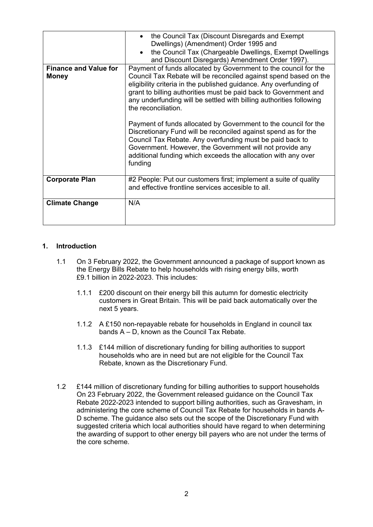| <b>Finance and Value for</b><br><b>Money</b> | the Council Tax (Chargeable Dwellings, Exempt Dwellings<br>and Discount Disregards) Amendment Order 1997).<br>Payment of funds allocated by Government to the council for the<br>Council Tax Rebate will be reconciled against spend based on the<br>eligibility criteria in the published guidance. Any overfunding of<br>grant to billing authorities must be paid back to Government and<br>any underfunding will be settled with billing authorities following<br>the reconciliation.<br>Payment of funds allocated by Government to the council for the<br>Discretionary Fund will be reconciled against spend as for the<br>Council Tax Rebate. Any overfunding must be paid back to<br>Government. However, the Government will not provide any<br>additional funding which exceeds the allocation with any over<br>funding<br>#2 People: Put our customers first; implement a suite of quality |
|----------------------------------------------|--------------------------------------------------------------------------------------------------------------------------------------------------------------------------------------------------------------------------------------------------------------------------------------------------------------------------------------------------------------------------------------------------------------------------------------------------------------------------------------------------------------------------------------------------------------------------------------------------------------------------------------------------------------------------------------------------------------------------------------------------------------------------------------------------------------------------------------------------------------------------------------------------------|
| <b>Corporate Plan</b>                        | and effective frontline services accesible to all.                                                                                                                                                                                                                                                                                                                                                                                                                                                                                                                                                                                                                                                                                                                                                                                                                                                     |
| <b>Climate Change</b>                        | N/A                                                                                                                                                                                                                                                                                                                                                                                                                                                                                                                                                                                                                                                                                                                                                                                                                                                                                                    |

### **1. Introduction**

- 1.1 On 3 February 2022, the Government announced a package of support known as the Energy Bills Rebate to help households with rising energy bills, worth £9.1 billion in 2022-2023. This includes:
	- 1.1.1 £200 discount on their energy bill this autumn for domestic electricity customers in Great Britain. This will be paid back automatically over the next 5 years.
	- 1.1.2 A £150 non-repayable rebate for households in England in council tax bands A – D, known as the Council Tax Rebate.
	- 1.1.3 £144 million of discretionary funding for billing authorities to support households who are in need but are not eligible for the Council Tax Rebate, known as the Discretionary Fund.
- 1.2 £144 million of discretionary funding for billing authorities to support households On 23 February 2022, the Government released guidance on the Council Tax Rebate 2022-2023 intended to support billing authorities, such as Gravesham, in administering the core scheme of Council Tax Rebate for households in bands A-D scheme. The guidance also sets out the scope of the Discretionary Fund with suggested criteria which local authorities should have regard to when determining the awarding of support to other energy bill payers who are not under the terms of the core scheme.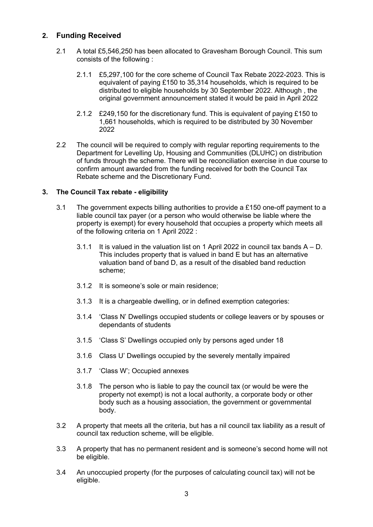## **2. Funding Received**

- 2.1 A total £5,546,250 has been allocated to Gravesham Borough Council. This sum consists of the following :
	- 2.1.1 £5,297,100 for the core scheme of Council Tax Rebate 2022-2023. This is equivalent of paying £150 to 35,314 households, which is required to be distributed to eligible households by 30 September 2022. Although , the original government announcement stated it would be paid in April 2022
	- 2.1.2 £249,150 for the discretionary fund. This is equivalent of paying £150 to 1,661 households, which is required to be distributed by 30 November 2022
- 2.2 The council will be required to comply with regular reporting requirements to the Department for Levelling Up, Housing and Communities (DLUHC) on distribution of funds through the scheme. There will be reconciliation exercise in due course to confirm amount awarded from the funding received for both the Council Tax Rebate scheme and the Discretionary Fund.

## **3. The Council Tax rebate - eligibility**

- 3.1 The government expects billing authorities to provide a £150 one-off payment to a liable council tax payer (or a person who would otherwise be liable where the property is exempt) for every household that occupies a property which meets all of the following criteria on 1 April 2022 :
	- 3.1.1 It is valued in the valuation list on 1 April 2022 in council tax bands  $A D$ . This includes property that is valued in band E but has an alternative valuation band of band D, as a result of the disabled band reduction scheme;
	- 3.1.2 It is someone's sole or main residence;
	- 3.1.3 It is a chargeable dwelling, or in defined exemption categories:
	- 3.1.4 'Class N' Dwellings occupied students or college leavers or by spouses or dependants of students
	- 3.1.5 'Class S' Dwellings occupied only by persons aged under 18
	- 3.1.6 Class U' Dwellings occupied by the severely mentally impaired
	- 3.1.7 'Class W'; Occupied annexes
	- 3.1.8 The person who is liable to pay the council tax (or would be were the property not exempt) is not a local authority, a corporate body or other body such as a housing association, the government or governmental body.
- 3.2 A property that meets all the criteria, but has a nil council tax liability as a result of council tax reduction scheme, will be eligible.
- 3.3 A property that has no permanent resident and is someone's second home will not be eligible.
- 3.4 An unoccupied property (for the purposes of calculating council tax) will not be eligible.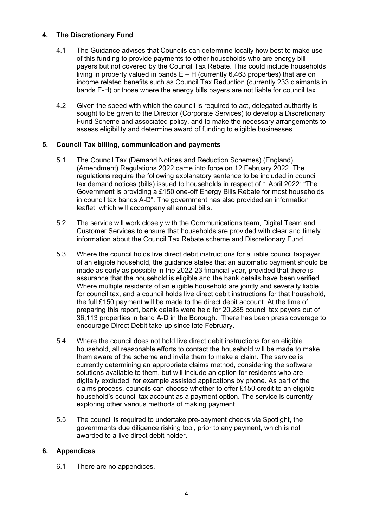## **4. The Discretionary Fund**

- 4.1 The Guidance advises that Councils can determine locally how best to make use of this funding to provide payments to other households who are energy bill payers but not covered by the Council Tax Rebate. This could include households living in property valued in bands  $E - H$  (currently 6,463 properties) that are on income related benefits such as Council Tax Reduction (currently 233 claimants in bands E-H) or those where the energy bills payers are not liable for council tax.
- 4.2 Given the speed with which the council is required to act, delegated authority is sought to be given to the Director (Corporate Services) to develop a Discretionary Fund Scheme and associated policy, and to make the necessary arrangements to assess eligibility and determine award of funding to eligible businesses.

### **5. Council Tax billing, communication and payments**

- 5.1 The Council Tax (Demand Notices and Reduction Schemes) (England) (Amendment) Regulations 2022 came into force on 12 February 2022. The regulations require the following explanatory sentence to be included in council tax demand notices (bills) issued to households in respect of 1 April 2022: "The Government is providing a £150 one-off Energy Bills Rebate for most households in council tax bands A-D". The government has also provided an information leaflet, which will accompany all annual bills.
- 5.2 The service will work closely with the Communications team, Digital Team and Customer Services to ensure that households are provided with clear and timely information about the Council Tax Rebate scheme and Discretionary Fund.
- 5.3 Where the council holds live direct debit instructions for a liable council taxpayer of an eligible household, the guidance states that an automatic payment should be made as early as possible in the 2022-23 financial year, provided that there is assurance that the household is eligible and the bank details have been verified. Where multiple residents of an eligible household are jointly and severally liable for council tax, and a council holds live direct debit instructions for that household, the full £150 payment will be made to the direct debit account. At the time of preparing this report, bank details were held for 20,285 council tax payers out of 36,113 properties in band A-D in the Borough. There has been press coverage to encourage Direct Debit take-up since late February.
- 5.4 Where the council does not hold live direct debit instructions for an eligible household, all reasonable efforts to contact the household will be made to make them aware of the scheme and invite them to make a claim. The service is currently determining an appropriate claims method, considering the software solutions available to them, but will include an option for residents who are digitally excluded, for example assisted applications by phone. As part of the claims process, councils can choose whether to offer £150 credit to an eligible household's council tax account as a payment option. The service is currently exploring other various methods of making payment.
- 5.5 The council is required to undertake pre-payment checks via Spotlight, the governments due diligence risking tool, prior to any payment, which is not awarded to a live direct debit holder.

### **6. Appendices**

6.1 There are no appendices.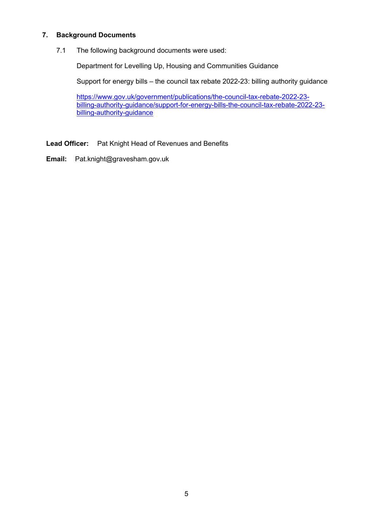### **7. Background Documents**

7.1 The following background documents were used:

Department for Levelling Up, Housing and Communities Guidance

Support for energy bills – the council tax rebate 2022-23: billing authority guidance

[https://www.gov.uk/government/publications/the-council-tax-rebate-2022-23](https://www.gov.uk/government/publications/the-council-tax-rebate-2022-23-%20%20%20billing-authority-guidance/support-for-energy-bills-the-council-tax-rebate-2022-23-billing-authority-guidance)  [billing-authority-guidance/support-for-energy-bills-the-council-tax-rebate-2022-23](https://www.gov.uk/government/publications/the-council-tax-rebate-2022-23-%20%20%20billing-authority-guidance/support-for-energy-bills-the-council-tax-rebate-2022-23-billing-authority-guidance) [billing-authority-guidance](https://www.gov.uk/government/publications/the-council-tax-rebate-2022-23-%20%20%20billing-authority-guidance/support-for-energy-bills-the-council-tax-rebate-2022-23-billing-authority-guidance)

**Lead Officer:** Pat Knight Head of Revenues and Benefits

**Email:** Pat.knight@gravesham.gov.uk